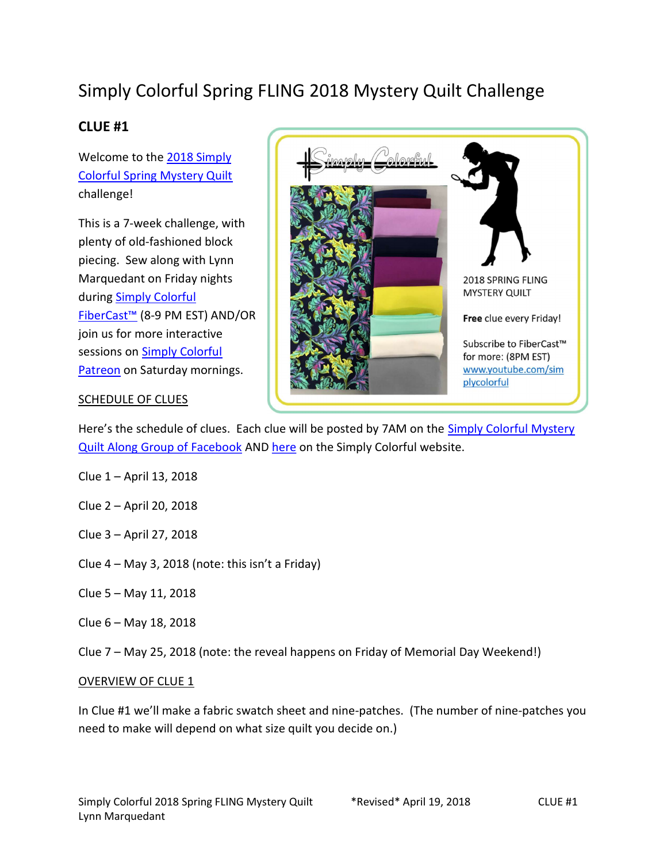# Simply Colorful Spring FLING 2018 Mystery Quilt Challenge

## CLUE #1

Welcome to the 2018 Simply Colorful Spring Mystery Quilt challenge!

This is a 7-week challenge, with plenty of old-fashioned block piecing. Sew along with Lynn Marquedant on Friday nights during Simply Colorful FiberCast™ (8-9 PM EST) AND/OR join us for more interactive sessions on Simply Colorful Patreon on Saturday mornings.



#### SCHEDULE OF CLUES

Here's the schedule of clues. Each clue will be posted by 7AM on the Simply Colorful Mystery Quilt Along Group of Facebook AND here on the Simply Colorful website.

- Clue 1 April 13, 2018
- Clue 2 April 20, 2018
- Clue 3 April 27, 2018
- Clue 4 May 3, 2018 (note: this isn't a Friday)
- Clue 5 May 11, 2018
- Clue 6 May 18, 2018
- Clue 7 May 25, 2018 (note: the reveal happens on Friday of Memorial Day Weekend!)

#### OVERVIEW OF CLUE 1

In Clue #1 we'll make a fabric swatch sheet and nine-patches. (The number of nine-patches you need to make will depend on what size quilt you decide on.)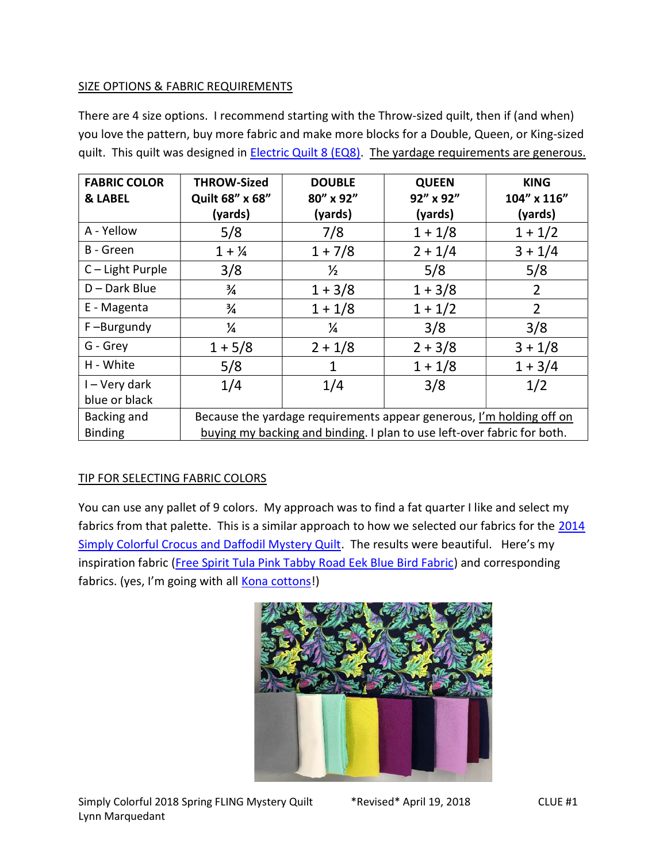#### SIZE OPTIONS & FABRIC REQUIREMENTS

There are 4 size options. I recommend starting with the Throw-sized quilt, then if (and when) you love the pattern, buy more fabric and make more blocks for a Double, Queen, or King-sized quilt. This quilt was designed in **Electric Quilt 8 (EQ8)**. The yardage requirements are generous.

| <b>FABRIC COLOR</b> | <b>THROW-Sized</b>                                                      | <b>DOUBLE</b> | <b>QUEEN</b> | <b>KING</b>    |
|---------------------|-------------------------------------------------------------------------|---------------|--------------|----------------|
| <b>&amp; LABEL</b>  | Quilt 68" x 68"                                                         | 80" x 92"     | 92" x 92"    | 104" x 116"    |
|                     | (yards)                                                                 | (yards)       | (yards)      | (yards)        |
| A - Yellow          | 5/8                                                                     | 7/8           | $1 + 1/8$    | $1 + 1/2$      |
| B - Green           | $1 + \frac{1}{4}$                                                       | $1 + 7/8$     | $2 + 1/4$    | $3 + 1/4$      |
| $C -$ Light Purple  | 3/8                                                                     | $\frac{1}{2}$ | 5/8          | 5/8            |
| $D$ – Dark Blue     | $\frac{3}{4}$                                                           | $1 + 3/8$     | $1 + 3/8$    | $\overline{2}$ |
| E - Magenta         | $\frac{3}{4}$                                                           | $1 + 1/8$     | $1 + 1/2$    | $\overline{2}$ |
| F-Burgundy          | ¼                                                                       | $\frac{1}{4}$ | 3/8          | 3/8            |
| G - Grey            | $1 + 5/8$                                                               | $2 + 1/8$     | $2 + 3/8$    | $3 + 1/8$      |
| H - White           | 5/8                                                                     | 1             | $1 + 1/8$    | $1 + 3/4$      |
| I – Very dark       | 1/4                                                                     | 1/4           | 3/8          | 1/2            |
| blue or black       |                                                                         |               |              |                |
| Backing and         | Because the yardage requirements appear generous, I'm holding off on    |               |              |                |
| <b>Binding</b>      | buying my backing and binding. I plan to use left-over fabric for both. |               |              |                |

### TIP FOR SELECTING FABRIC COLORS

You can use any pallet of 9 colors. My approach was to find a fat quarter I like and select my fabrics from that palette. This is a similar approach to how we selected our fabrics for the 2014 Simply Colorful Crocus and Daffodil Mystery Quilt. The results were beautiful. Here's my inspiration fabric (Free Spirit Tula Pink Tabby Road Eek Blue Bird Fabric) and corresponding fabrics. (yes, I'm going with all **Kona cottons!)** 

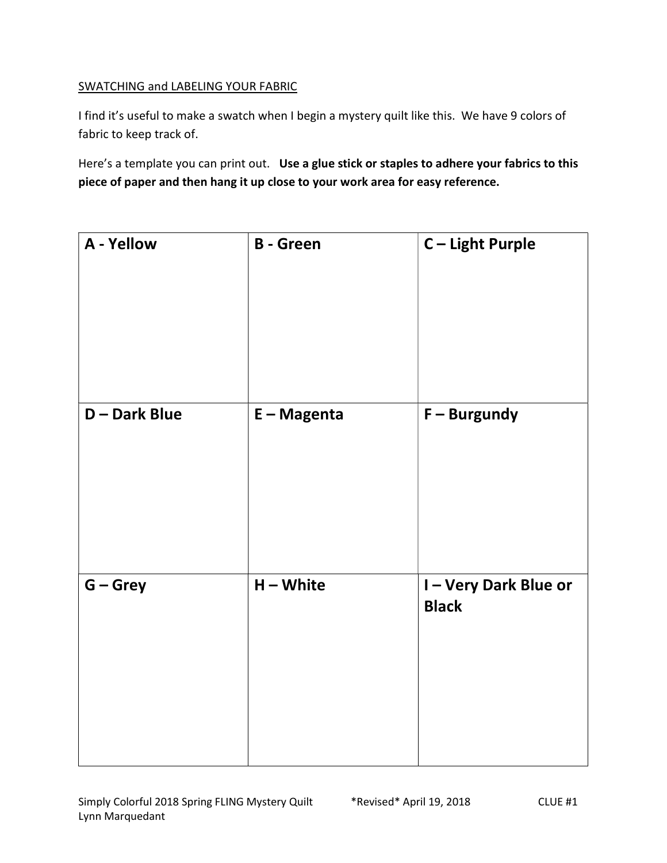#### SWATCHING and LABELING YOUR FABRIC

I find it's useful to make a swatch when I begin a mystery quilt like this. We have 9 colors of fabric to keep track of.

Here's a template you can print out. Use a glue stick or staples to adhere your fabrics to this piece of paper and then hang it up close to your work area for easy reference.

| A - Yellow         | <b>B</b> - Green | C-Light Purple                      |
|--------------------|------------------|-------------------------------------|
| <b>D-Dark Blue</b> | $E - Magenta$    | $F - Burgundy$                      |
| $G - Grey$         | $H - White$      | I-Very Dark Blue or<br><b>Black</b> |